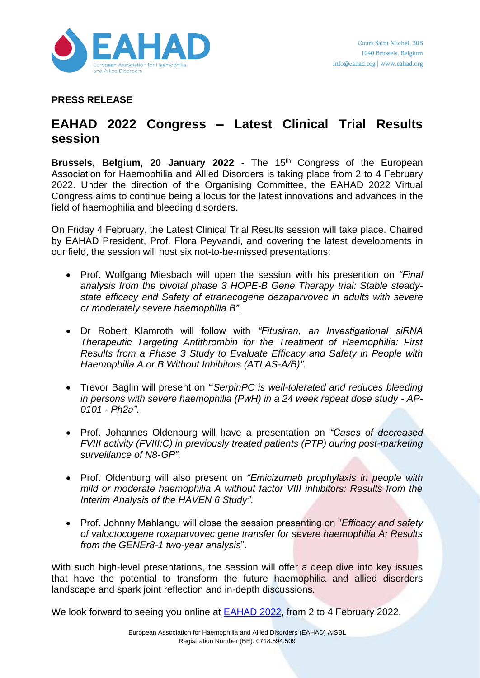

**PRESS RELEASE**

## **EAHAD 2022 Congress – Latest Clinical Trial Results session**

**Brussels, Belgium, 20 January 2022 -** The 15th Congress of the European Association for Haemophilia and Allied Disorders is taking place from 2 to 4 February 2022. Under the direction of the Organising Committee, the EAHAD 2022 Virtual Congress aims to continue being a locus for the latest innovations and advances in the field of haemophilia and bleeding disorders.

On Friday 4 February, the Latest Clinical Trial Results session will take place. Chaired by EAHAD President, Prof. Flora Peyvandi, and covering the latest developments in our field, the session will host six not-to-be-missed presentations:

- Prof. Wolfgang Miesbach will open the session with his presention on *"Final analysis from the pivotal phase 3 HOPE-B Gene Therapy trial: Stable steadystate efficacy and Safety of etranacogene dezaparvovec in adults with severe or moderately severe haemophilia B"*.
- Dr Robert Klamroth will follow with *"Fitusiran, an Investigational siRNA Therapeutic Targeting Antithrombin for the Treatment of Haemophilia: First Results from a Phase 3 Study to Evaluate Efficacy and Safety in People with Haemophilia A or B Without Inhibitors (ATLAS-A/B)"*.
- Trevor Baglin will present on **"***SerpinPC is well-tolerated and reduces bleeding in persons with severe haemophilia (PwH) in a 24 week repeat dose study - AP-0101 - Ph2a"*.
- Prof. Johannes Oldenburg will have a presentation on *"Cases of decreased FVIII activity (FVIII:C) in previously treated patients (PTP) during post-marketing surveillance of N8-GP"*.
- Prof. Oldenburg will also present on *"Emicizumab prophylaxis in people with mild or moderate haemophilia A without factor VIII inhibitors: Results from the Interim Analysis of the HAVEN 6 Study"*.
- Prof. Johnny Mahlangu will close the session presenting on "*Efficacy and safety of valoctocogene roxaparvovec gene transfer for severe haemophilia A: Results from the GENEr8-1 two-year analysis*".

With such high-level presentations, the session will offer a deep dive into key issues that have the potential to transform the future haemophilia and allied disorders landscape and spark joint reflection and in-depth discussions.

We look forward to seeing you online at **[EAHAD](https://eahadcongress.com/) 2022**, from 2 to 4 February 2022.